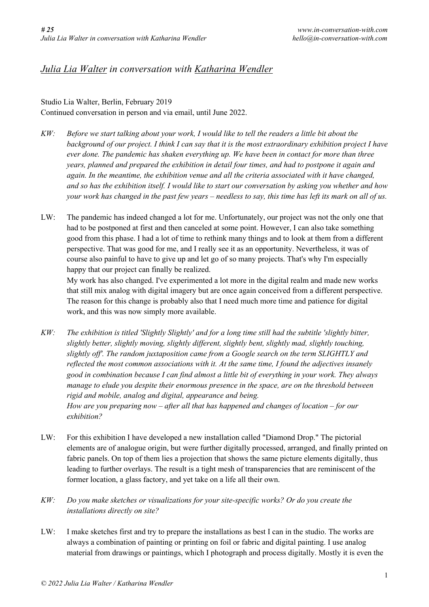## *Julia Lia Walter in conversation with Katharina Wendler*

## Studio Lia Walter, Berlin, February 2019 Continued conversation in person and via email, until June 2022.

- KW: Before we start talking about your work, I would like to tell the readers a little bit about the background of our project. I think I can say that it is the most extraordinary exhibition project I have *ever done. The pandemic has shaken everything up. We have been in contact for more than three years, planned and prepared the exhibition in detail four times, and had to postpone it again and again. In the meantime, the exhibition venue and all the criteria associated with it have changed,* and so has the exhibition itself. I would like to start our conversation by asking you whether and how your work has changed in the past few years – needless to say, this time has left its mark on all of us.
- LW: The pandemic has indeed changed a lot for me. Unfortunately, our project was not the only one that had to be postponed at first and then canceled at some point. However, I can also take something good from this phase. I had a lot of time to rethink many things and to look at them from a different perspective. That was good for me, and I really see it as an opportunity. Nevertheless, it was of course also painful to have to give up and let go of so many projects. That's why I'm especially happy that our project can finally be realized.

My work has also changed. I've experimented a lot more in the digital realm and made new works that still mix analog with digital imagery but are once again conceived from a different perspective. The reason for this change is probably also that I need much more time and patience for digital work, and this was now simply more available.

- KW: The exhibition is titled 'Slightly Slightly' and for a long time still had the subtitle 'slightly bitter, *slightly better, slightly moving, slightly different, slightly bent, slightly mad, slightly touching, slightly off'. The random juxtaposition came from a Google search on the term SLIGHTLY and reflected the most common associations with it. At the same time, I found the adjectives insanely good in combination because I can find almost a little bit of everything in your work. They always manage to elude you despite their enormous presence in the space, are on the threshold between rigid and mobile, analog and digital, appearance and being. How are you preparing now – after all that has happened and changes of location – for our exhibition?*
- LW: For this exhibition I have developed a new installation called "Diamond Drop." The pictorial elements are of analogue origin, but were further digitally processed, arranged, and finally printed on fabric panels. On top of them lies a projection that shows the same picture elements digitally, thus leading to further overlays. The result is a tight mesh of transparencies that are reminiscent of the former location, a glass factory, and yet take on a life all their own.
- *KW: Do you make sketches or visualizations for your site-specific works? Or do you create the installations directly on site?*
- LW: I make sketches first and try to prepare the installations as best I can in the studio. The works are always a combination of painting or printing on foil or fabric and digital painting. I use analog material from drawings or paintings, which I photograph and process digitally. Mostly it is even the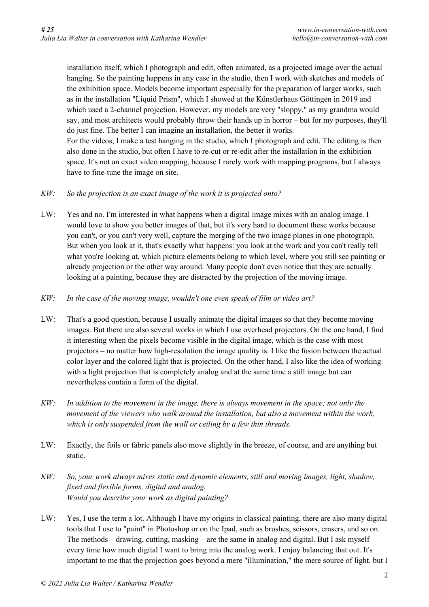installation itself, which I photograph and edit, often animated, as a projected image over the actual hanging. So the painting happens in any case in the studio, then I work with sketches and models of the exhibition space. Models become important especially for the preparation of larger works, such as in the installation "Liquid Prism", which I showed at the Künstlerhaus Göttingen in 2019 and which used a 2-channel projection. However, my models are very "sloppy," as my grandma would say, and most architects would probably throw their hands up in horror – but for my purposes, they'll do just fine. The better I can imagine an installation, the better it works. For the videos, I make a test hanging in the studio, which I photograph and edit. The editing is then also done in the studio, but often I have to re-cut or re-edit after the installation in the exhibition space. It's not an exact video mapping, because I rarely work with mapping programs, but I always

have to fine-tune the image on site.

## *KW: So the projection is an exact image of the work it is projected onto?*

LW: Yes and no. I'm interested in what happens when a digital image mixes with an analog image. I would love to show you better images of that, but it's very hard to document these works because you can't, or you can't very well, capture the merging of the two image planes in one photograph. But when you look at it, that's exactly what happens: you look at the work and you can't really tell what you're looking at, which picture elements belong to which level, where you still see painting or already projection or the other way around. Many people don't even notice that they are actually looking at a painting, because they are distracted by the projection of the moving image.

## *KW: In the case of the moving image, wouldn't one even speak of film or video art?*

- LW: That's a good question, because I usually animate the digital images so that they become moving images. But there are also several works in which I use overhead projectors. On the one hand, I find it interesting when the pixels become visible in the digital image, which is the case with most projectors – no matter how high-resolution the image quality is. I like the fusion between the actual color layer and the colored light that is projected. On the other hand, I also like the idea of working with a light projection that is completely analog and at the same time a still image but can nevertheless contain a form of the digital.
- $KW:$  In addition to the movement in the image, there is always movement in the space; not only the *movement of the viewers who walk around the installation, but also a movement within the work, which is only suspended from the wall or ceiling by a few thin threads.*
- LW: Exactly, the foils or fabric panels also move slightly in the breeze, of course, and are anything but static.
- *KW: So, your work always mixes static and dynamic elements, still and moving images, light, shadow, fixed and flexible forms, digital and analog. Would you describe your work as digital painting?*
- LW: Yes, I use the term a lot. Although I have my origins in classical painting, there are also many digital tools that I use to "paint" in Photoshop or on the Ipad, such as brushes, scissors, erasers, and so on. The methods – drawing, cutting, masking – are the same in analog and digital. But I ask myself every time how much digital I want to bring into the analog work. I enjoy balancing that out. It's important to me that the projection goes beyond a mere "illumination," the mere source of light, but I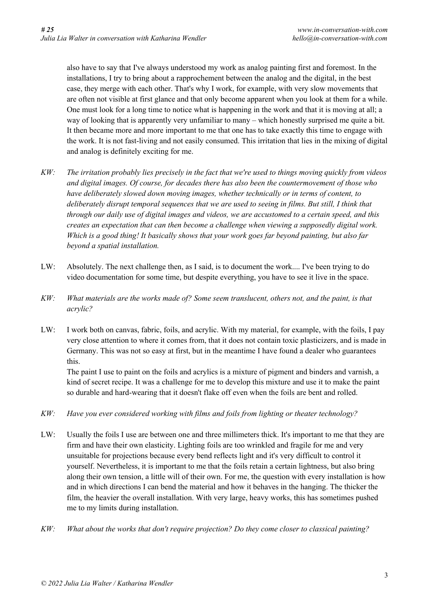also have to say that I've always understood my work as analog painting first and foremost. In the installations, I try to bring about a rapprochement between the analog and the digital, in the best case, they merge with each other. That's why I work, for example, with very slow movements that are often not visible at first glance and that only become apparent when you look at them for a while. One must look for a long time to notice what is happening in the work and that it is moving at all; a way of looking that is apparently very unfamiliar to many – which honestly surprised me quite a bit. It then became more and more important to me that one has to take exactly this time to engage with the work. It is not fast-living and not easily consumed. This irritation that lies in the mixing of digital and analog is definitely exciting for me.

- $KW:$  The irritation probably lies precisely in the fact that we're used to things moving quickly from videos *and digital images. Of course, for decades there has also been the countermovement of those who have deliberately slowed down moving images, whether technically or in terms of content, to deliberately disrupt temporal sequences that we are used to seeing in films. But still, I think that through our daily use of digital images and videos, we are accustomed to a certain speed, and this creates an expectation that can then become a challenge when viewing a supposedly digital work. Which is a good thing! It basically shows that your work goes far beyond painting, but also far beyond a spatial installation.*
- LW: Absolutely. The next challenge then, as I said, is to document the work.... I've been trying to do video documentation for some time, but despite everything, you have to see it live in the space.
- KW: What materials are the works made of? Some seem translucent, others not, and the paint, is that *acrylic?*
- LW: I work both on canvas, fabric, foils, and acrylic. With my material, for example, with the foils, I pay very close attention to where it comes from, that it does not contain toxic plasticizers, and is made in Germany. This was not so easy at first, but in the meantime I have found a dealer who guarantees this.

The paint I use to paint on the foils and acrylics is a mixture of pigment and binders and varnish, a kind of secret recipe. It was a challenge for me to develop this mixture and use it to make the paint so durable and hard-wearing that it doesn't flake off even when the foils are bent and rolled.

- *KW: Have you ever considered working with films and foils from lighting or theater technology?*
- LW: Usually the foils I use are between one and three millimeters thick. It's important to me that they are firm and have their own elasticity. Lighting foils are too wrinkled and fragile for me and very unsuitable for projections because every bend reflects light and it's very difficult to control it yourself. Nevertheless, it is important to me that the foils retain a certain lightness, but also bring along their own tension, a little will of their own. For me, the question with every installation is how and in which directions I can bend the material and how it behaves in the hanging. The thicker the film, the heavier the overall installation. With very large, heavy works, this has sometimes pushed me to my limits during installation.
- *KW: What about the works that don't require projection? Do they come closer to classical painting?*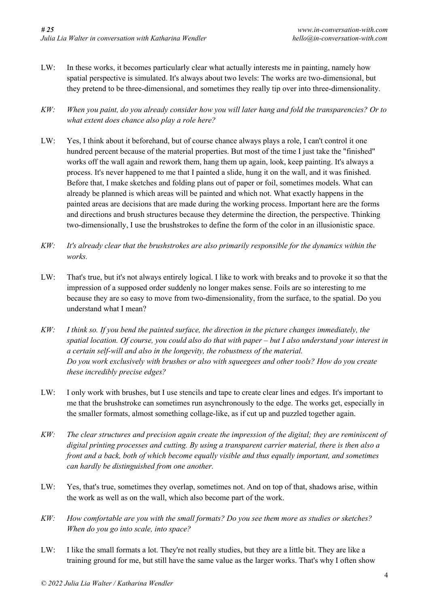- LW: In these works, it becomes particularly clear what actually interests me in painting, namely how spatial perspective is simulated. It's always about two levels: The works are two-dimensional, but they pretend to be three-dimensional, and sometimes they really tip over into three-dimensionality.
- $KW:$  When you paint, do you already consider how you will later hang and fold the transparencies? Or to *what extent does chance also play a role here?*
- LW: Yes, I think about it beforehand, but of course chance always plays a role, I can't control it one hundred percent because of the material properties. But most of the time I just take the "finished" works off the wall again and rework them, hang them up again, look, keep painting. It's always a process. It's never happened to me that I painted a slide, hung it on the wall, and it was finished. Before that, I make sketches and folding plans out of paper or foil, sometimes models. What can already be planned is which areas will be painted and which not. What exactly happens in the painted areas are decisions that are made during the working process. Important here are the forms and directions and brush structures because they determine the direction, the perspective. Thinking two-dimensionally, I use the brushstrokes to define the form of the color in an illusionistic space.
- *KW: It's already clear that the brushstrokes are also primarily responsible for the dynamics within the works.*
- LW: That's true, but it's not always entirely logical. I like to work with breaks and to provoke it so that the impression of a supposed order suddenly no longer makes sense. Foils are so interesting to me because they are so easy to move from two-dimensionality, from the surface, to the spatial. Do you understand what I mean?
- $KW:$  I think so. If you bend the painted surface, the direction in the picture changes immediately, the spatial location. Of course, you could also do that with paper – but I also understand your interest in *a certain self-will and also in the longevity, the robustness of the material. Do you work exclusively with brushes or also with squeegees and other tools? How do you create these incredibly precise edges?*
- LW: I only work with brushes, but I use stencils and tape to create clear lines and edges. It's important to me that the brushstroke can sometimes run asynchronously to the edge. The works get, especially in the smaller formats, almost something collage-like, as if cut up and puzzled together again.
- $KW:$  The clear structures and precision again create the impression of the digital; they are reminiscent of *digital printing processes and cutting. By using a transparent carrier material, there is then also a front and a back, both of which become equally visible and thus equally important, and sometimes can hardly be distinguished from one another.*
- LW: Yes, that's true, sometimes they overlap, sometimes not. And on top of that, shadows arise, within the work as well as on the wall, which also become part of the work.
- *KW: How comfortable are you with the small formats? Do you see them more as studies or sketches? When do you go into scale, into space?*
- LW: I like the small formats a lot. They're not really studies, but they are a little bit. They are like a training ground for me, but still have the same value as the larger works. That's why I often show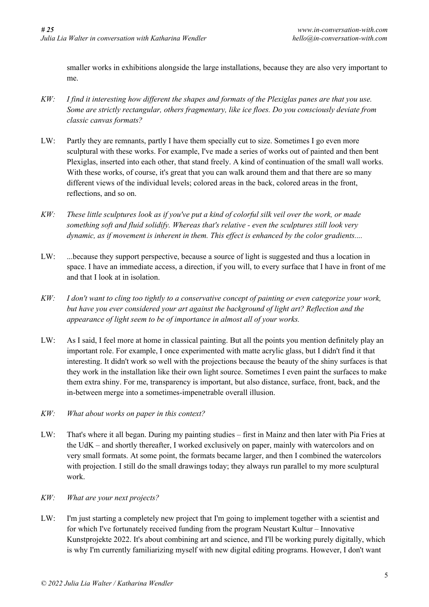smaller works in exhibitions alongside the large installations, because they are also very important to me.

- $KW:$  I find it interesting how different the shapes and formats of the Plexiglas panes are that you use. *Some are strictly rectangular, others fragmentary, like ice floes. Do you consciously deviate from classic canvas formats?*
- LW: Partly they are remnants, partly I have them specially cut to size. Sometimes I go even more sculptural with these works. For example, I've made a series of works out of painted and then bent Plexiglas, inserted into each other, that stand freely. A kind of continuation of the small wall works. With these works, of course, it's great that you can walk around them and that there are so many different views of the individual levels; colored areas in the back, colored areas in the front, reflections, and so on.
- $KW:$  These little sculptures look as if you've put a kind of colorful silk veil over the work, or made *something soft and fluid solidify. Whereas that's relative - even the sculptures still look very dynamic, as if movement is inherent in them. This effect is enhanced by the color gradients....*
- LW: ...because they support perspective, because a source of light is suggested and thus a location in space. I have an immediate access, a direction, if you will, to every surface that I have in front of me and that I look at in isolation.
- KW: I don't want to cling too tightly to a conservative concept of painting or even categorize your work, *but have you ever considered your art against the background of light art? Reflection and the appearance of light seem to be of importance in almost all of your works.*
- LW: As I said, I feel more at home in classical painting. But all the points you mention definitely play an important role. For example, I once experimented with matte acrylic glass, but I didn't find it that interesting. It didn't work so well with the projections because the beauty of the shiny surfaces is that they work in the installation like their own light source. Sometimes I even paint the surfaces to make them extra shiny. For me, transparency is important, but also distance, surface, front, back, and the in-between merge into a sometimes-impenetrable overall illusion.
- *KW: What about works on paper in this context?*
- LW: That's where it all began. During my painting studies first in Mainz and then later with Pia Fries at the UdK – and shortly thereafter, I worked exclusively on paper, mainly with watercolors and on very small formats. At some point, the formats became larger, and then I combined the watercolors with projection. I still do the small drawings today; they always run parallel to my more sculptural work.
- *KW: What are your next projects?*
- LW: I'm just starting a completely new project that I'm going to implement together with a scientist and for which I've fortunately received funding from the program Neustart Kultur – Innovative Kunstprojekte 2022. It's about combining art and science, and I'll be working purely digitally, which is why I'm currently familiarizing myself with new digital editing programs. However, I don't want